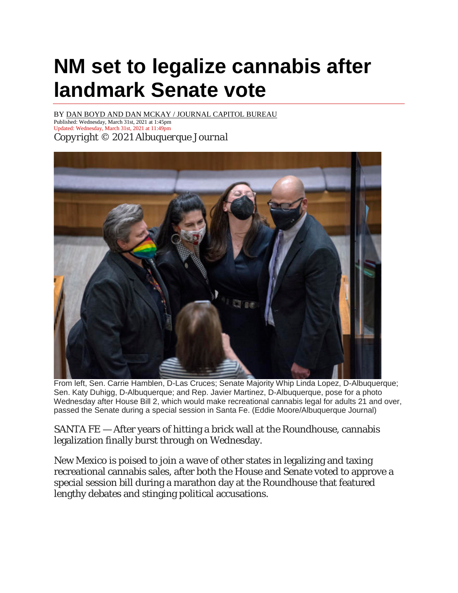## **NM set to legalize cannabis after landmark Senate vote**

BY [DAN BOYD AND DAN MCKAY / JOURNAL CAPITOL](https://www.abqjournal.com/author/dmckay) BUREAU

Published: Wednesday, March 31st, 2021 at 1:45pm Updated: Wednesday, March 31st, 2021 at 11:49pm *Copyright © 2021 Albuquerque Journal*



From left, Sen. Carrie Hamblen, D-Las Cruces; Senate Majority Whip Linda Lopez, D-Albuquerque; Sen. Katy Duhigg, D-Albuquerque; and Rep. Javier Martinez, D-Albuquerque, pose for a photo Wednesday after House Bill 2, which would make recreational cannabis legal for adults 21 and over, passed the Senate during a special session in Santa Fe. (Eddie Moore/Albuquerque Journal)

SANTA FE — After years of hitting a brick wall at the Roundhouse, cannabis legalization finally burst through on Wednesday.

New Mexico is poised to join a wave of other states in legalizing and taxing recreational cannabis sales, after both the House and Senate voted to approve a special session bill during a marathon day at the Roundhouse that featured lengthy debates and stinging political accusations.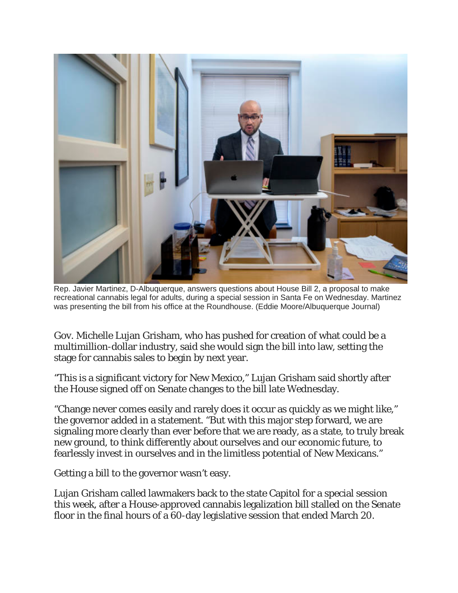

Rep. Javier Martinez, D-Albuquerque, answers questions about House Bill 2, a proposal to make recreational cannabis legal for adults, during a special session in Santa Fe on Wednesday. Martinez was presenting the bill from his office at the Roundhouse. (Eddie Moore/Albuquerque Journal)

Gov. Michelle Lujan Grisham, who has pushed for creation of what could be a multimillion-dollar industry, said she would sign the bill into law, setting the stage for cannabis sales to begin by next year.

"This is a significant victory for New Mexico," Lujan Grisham said shortly after the House signed off on Senate changes to the bill late Wednesday.

"Change never comes easily and rarely does it occur as quickly as we might like," the governor added in a statement. "But with this major step forward, we are signaling more clearly than ever before that we are ready, as a state, to truly break new ground, to think differently about ourselves and our economic future, to fearlessly invest in ourselves and in the limitless potential of New Mexicans."

Getting a bill to the governor wasn't easy.

Lujan Grisham called lawmakers back to the state Capitol for a special session this week, after a House-approved cannabis legalization bill stalled on the Senate floor in the final hours of a 60-day legislative session that ended March 20.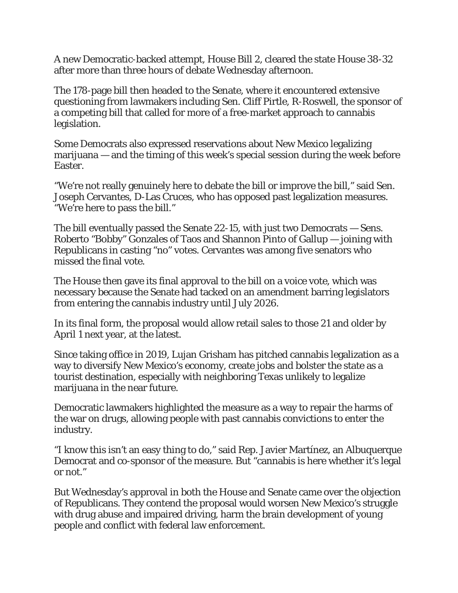A new Democratic-backed attempt, House Bill 2, cleared the state House 38-32 after more than three hours of debate Wednesday afternoon.

The 178-page bill then headed to the Senate, where it encountered extensive questioning from lawmakers including Sen. Cliff Pirtle, R-Roswell, the sponsor of a competing bill that called for more of a free-market approach to cannabis legislation.

Some Democrats also expressed reservations about New Mexico legalizing marijuana — and the timing of this week's special session during the week before Easter.

"We're not really genuinely here to debate the bill or improve the bill," said Sen. Joseph Cervantes, D-Las Cruces, who has opposed past legalization measures. "We're here to pass the bill."

The bill eventually passed the Senate 22-15, with just two Democrats — Sens. Roberto "Bobby" Gonzales of Taos and Shannon Pinto of Gallup — joining with Republicans in casting "no" votes. Cervantes was among five senators who missed the final vote.

The House then gave its final approval to the bill on a voice vote, which was necessary because the Senate had tacked on an amendment barring legislators from entering the cannabis industry until July 2026.

In its final form, the proposal would allow retail sales to those 21 and older by April 1 next year, at the latest.

Since taking office in 2019, Lujan Grisham has pitched cannabis legalization as a way to diversify New Mexico's economy, create jobs and bolster the state as a tourist destination, especially with neighboring Texas unlikely to legalize marijuana in the near future.

Democratic lawmakers highlighted the measure as a way to repair the harms of the war on drugs, allowing people with past cannabis convictions to enter the industry.

"I know this isn't an easy thing to do," said Rep. Javier Martínez, an Albuquerque Democrat and co-sponsor of the measure. But "cannabis is here whether it's legal or not."

But Wednesday's approval in both the House and Senate came over the objection of Republicans. They contend the proposal would worsen New Mexico's struggle with drug abuse and impaired driving, harm the brain development of young people and conflict with federal law enforcement.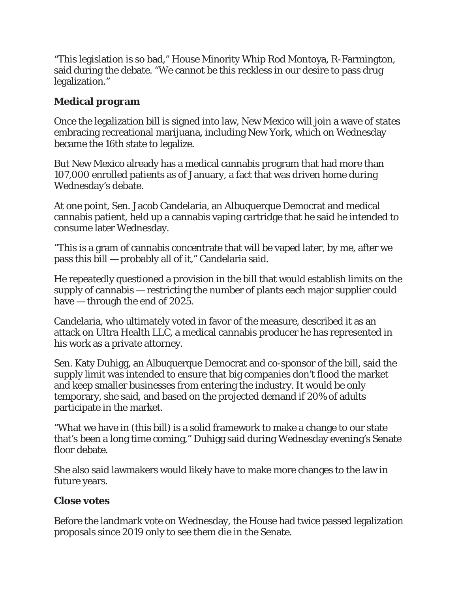"This legislation is so bad," House Minority Whip Rod Montoya, R-Farmington, said during the debate. "We cannot be this reckless in our desire to pass drug legalization."

## **Medical program**

Once the legalization bill is signed into law, New Mexico will join a wave of states embracing recreational marijuana, including New York, which on Wednesday became the 16th state to legalize.

But New Mexico already has a medical cannabis program that had more than 107,000 enrolled patients as of January, a fact that was driven home during Wednesday's debate.

At one point, Sen. Jacob Candelaria, an Albuquerque Democrat and medical cannabis patient, held up a cannabis vaping cartridge that he said he intended to consume later Wednesday.

"This is a gram of cannabis concentrate that will be vaped later, by me, after we pass this bill — probably all of it," Candelaria said.

He repeatedly questioned a provision in the bill that would establish limits on the supply of cannabis — restricting the number of plants each major supplier could have — through the end of 2025.

Candelaria, who ultimately voted in favor of the measure, described it as an attack on Ultra Health LLC, a medical cannabis producer he has represented in his work as a private attorney.

Sen. Katy Duhigg, an Albuquerque Democrat and co-sponsor of the bill, said the supply limit was intended to ensure that big companies don't flood the market and keep smaller businesses from entering the industry. It would be only temporary, she said, and based on the projected demand if 20% of adults participate in the market.

"What we have in (this bill) is a solid framework to make a change to our state that's been a long time coming," Duhigg said during Wednesday evening's Senate floor debate.

She also said lawmakers would likely have to make more changes to the law in future years.

## **Close votes**

Before the landmark vote on Wednesday, the House had twice passed legalization proposals since 2019 only to see them die in the Senate.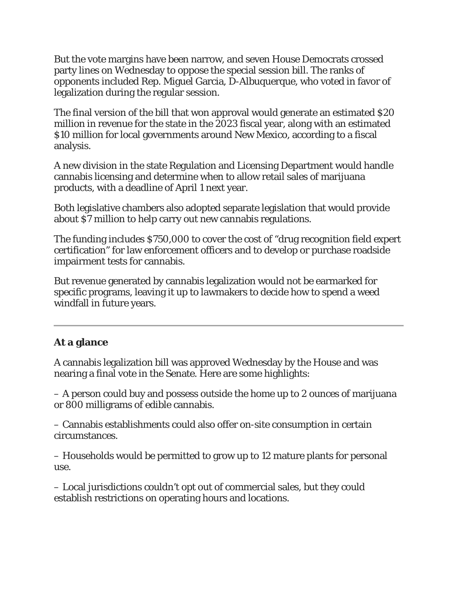But the vote margins have been narrow, and seven House Democrats crossed party lines on Wednesday to oppose the special session bill. The ranks of opponents included Rep. Miguel Garcia, D-Albuquerque, who voted in favor of legalization during the regular session.

The final version of the bill that won approval would generate an estimated \$20 million in revenue for the state in the 2023 fiscal year, along with an estimated \$10 million for local governments around New Mexico, according to a fiscal analysis.

A new division in the state Regulation and Licensing Department would handle cannabis licensing and determine when to allow retail sales of marijuana products, with a deadline of April 1 next year.

Both legislative chambers also adopted separate legislation that would provide about \$7 million to help carry out new cannabis regulations.

The funding includes \$750,000 to cover the cost of "drug recognition field expert certification" for law enforcement officers and to develop or purchase roadside impairment tests for cannabis.

But revenue generated by cannabis legalization would not be earmarked for specific programs, leaving it up to lawmakers to decide how to spend a weed windfall in future years.

## **At a glance**

A cannabis legalization bill was approved Wednesday by the House and was nearing a final vote in the Senate. Here are some highlights:

– A person could buy and possess outside the home up to 2 ounces of marijuana or 800 milligrams of edible cannabis.

– Cannabis establishments could also offer on-site consumption in certain circumstances.

– Households would be permitted to grow up to 12 mature plants for personal use.

– Local jurisdictions couldn't opt out of commercial sales, but they could establish restrictions on operating hours and locations.